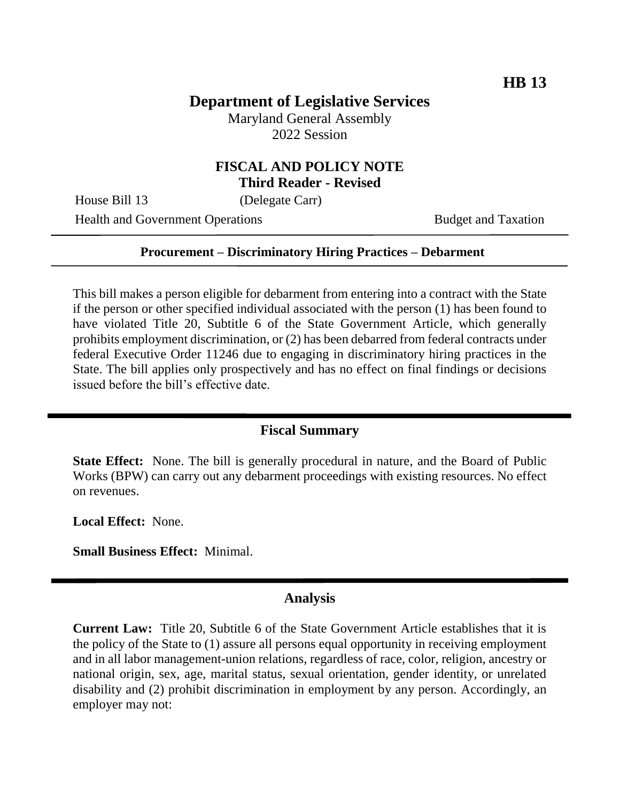# **Department of Legislative Services**

Maryland General Assembly 2022 Session

### **FISCAL AND POLICY NOTE Third Reader - Revised**

House Bill 13 (Delegate Carr)

Health and Government Operations Budget and Taxation

### **Procurement – Discriminatory Hiring Practices – Debarment**

This bill makes a person eligible for debarment from entering into a contract with the State if the person or other specified individual associated with the person (1) has been found to have violated Title 20, Subtitle 6 of the State Government Article, which generally prohibits employment discrimination, or (2) has been debarred from federal contracts under federal Executive Order 11246 due to engaging in discriminatory hiring practices in the State. The bill applies only prospectively and has no effect on final findings or decisions issued before the bill's effective date.

## **Fiscal Summary**

**State Effect:** None. The bill is generally procedural in nature, and the Board of Public Works (BPW) can carry out any debarment proceedings with existing resources. No effect on revenues.

**Local Effect:** None.

**Small Business Effect:** Minimal.

#### **Analysis**

**Current Law:** Title 20, Subtitle 6 of the State Government Article establishes that it is the policy of the State to (1) assure all persons equal opportunity in receiving employment and in all labor management-union relations, regardless of race, color, religion, ancestry or national origin, sex, age, marital status, sexual orientation, gender identity, or unrelated disability and (2) prohibit discrimination in employment by any person. Accordingly, an employer may not: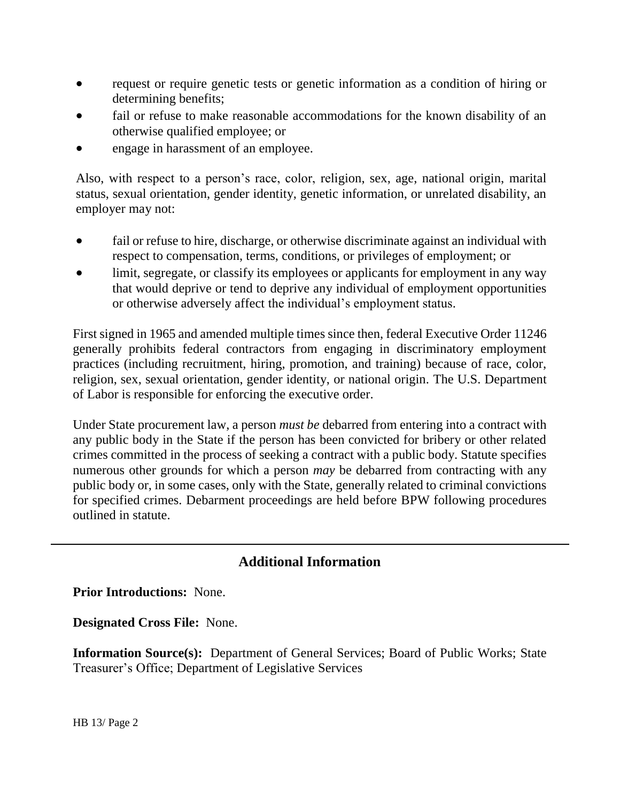- request or require genetic tests or genetic information as a condition of hiring or determining benefits;
- fail or refuse to make reasonable accommodations for the known disability of an otherwise qualified employee; or
- engage in harassment of an employee.

Also, with respect to a person's race, color, religion, sex, age, national origin, marital status, sexual orientation, gender identity, genetic information, or unrelated disability, an employer may not:

- fail or refuse to hire, discharge, or otherwise discriminate against an individual with respect to compensation, terms, conditions, or privileges of employment; or
- limit, segregate, or classify its employees or applicants for employment in any way that would deprive or tend to deprive any individual of employment opportunities or otherwise adversely affect the individual's employment status.

First signed in 1965 and amended multiple times since then, federal Executive Order 11246 generally prohibits federal contractors from engaging in discriminatory employment practices (including recruitment, hiring, promotion, and training) because of race, color, religion, sex, sexual orientation, gender identity, or national origin. The U.S. Department of Labor is responsible for enforcing the executive order.

Under State procurement law, a person *must be* debarred from entering into a contract with any public body in the State if the person has been convicted for bribery or other related crimes committed in the process of seeking a contract with a public body. Statute specifies numerous other grounds for which a person *may* be debarred from contracting with any public body or, in some cases, only with the State, generally related to criminal convictions for specified crimes. Debarment proceedings are held before BPW following procedures outlined in statute.

## **Additional Information**

**Prior Introductions:** None.

**Designated Cross File:** None.

**Information Source(s):** Department of General Services; Board of Public Works; State Treasurer's Office; Department of Legislative Services